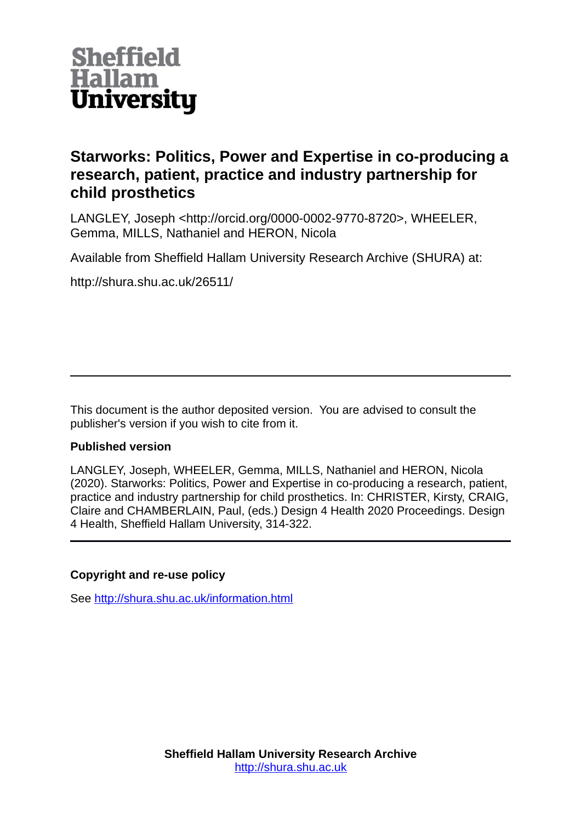

# **Starworks: Politics, Power and Expertise in co-producing a research, patient, practice and industry partnership for child prosthetics**

LANGLEY, Joseph <http://orcid.org/0000-0002-9770-8720>, WHEELER, Gemma, MILLS, Nathaniel and HERON, Nicola

Available from Sheffield Hallam University Research Archive (SHURA) at:

http://shura.shu.ac.uk/26511/

This document is the author deposited version. You are advised to consult the publisher's version if you wish to cite from it.

#### **Published version**

LANGLEY, Joseph, WHEELER, Gemma, MILLS, Nathaniel and HERON, Nicola (2020). Starworks: Politics, Power and Expertise in co-producing a research, patient, practice and industry partnership for child prosthetics. In: CHRISTER, Kirsty, CRAIG, Claire and CHAMBERLAIN, Paul, (eds.) Design 4 Health 2020 Proceedings. Design 4 Health, Sheffield Hallam University, 314-322.

#### **Copyright and re-use policy**

See<http://shura.shu.ac.uk/information.html>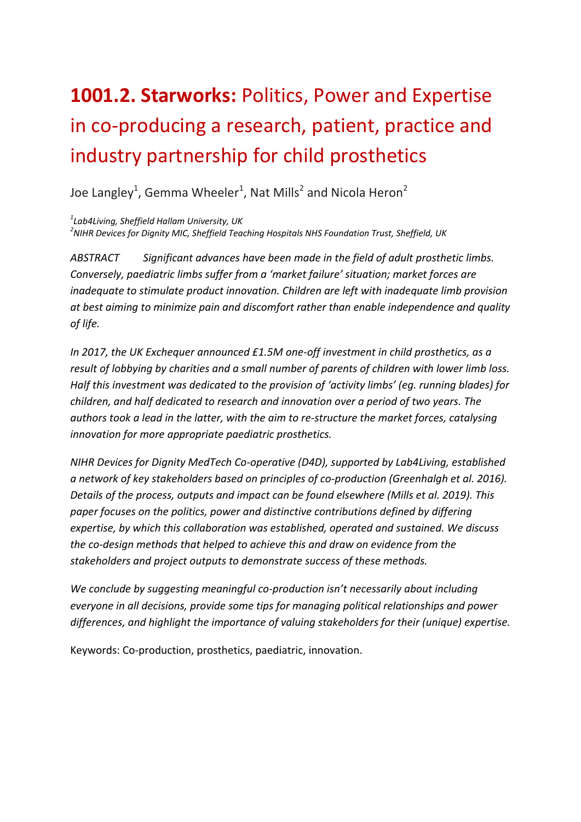# **1001.2. Starworks:** Politics, Power and Expertise in co-producing a research, patient, practice and industry partnership for child prosthetics

Joe Langley<sup>1</sup>, Gemma Wheeler<sup>1</sup>, Nat Mills<sup>2</sup> and Nicola Heron<sup>2</sup>

*1 Lab4Living, Sheffield Hallam University, UK*

*2 NIHR Devices for Dignity MIC, Sheffield Teaching Hospitals NHS Foundation Trust, Sheffield, UK* 

*ABSTRACT Significant advances have been made in the field of adult prosthetic limbs. Conversely, paediatric limbs suffer from a 'market failure' situation; market forces are inadequate to stimulate product innovation. Children are left with inadequate limb provision at best aiming to minimize pain and discomfort rather than enable independence and quality of life.*

*In 2017, the UK Exchequer announced £1.5M one-off investment in child prosthetics, as a result of lobbying by charities and a small number of parents of children with lower limb loss. Half this investment was dedicated to the provision of 'activity limbs' (eg. running blades) for children, and half dedicated to research and innovation over a period of two years. The authors took a lead in the latter, with the aim to re-structure the market forces, catalysing innovation for more appropriate paediatric prosthetics.*

*NIHR Devices for Dignity MedTech Co-operative (D4D), supported by Lab4Living, established a network of key stakeholders based on principles of co-production (Greenhalgh et al. 2016). Details of the process, outputs and impact can be found elsewhere (Mills et al. 2019). This paper focuses on the politics, power and distinctive contributions defined by differing expertise, by which this collaboration was established, operated and sustained. We discuss the co-design methods that helped to achieve this and draw on evidence from the stakeholders and project outputs to demonstrate success of these methods.*

*We conclude by suggesting meaningful co-production isn't necessarily about including everyone in all decisions, provide some tips for managing political relationships and power differences, and highlight the importance of valuing stakeholders for their (unique) expertise.* 

Keywords: Co-production, prosthetics, paediatric, innovation.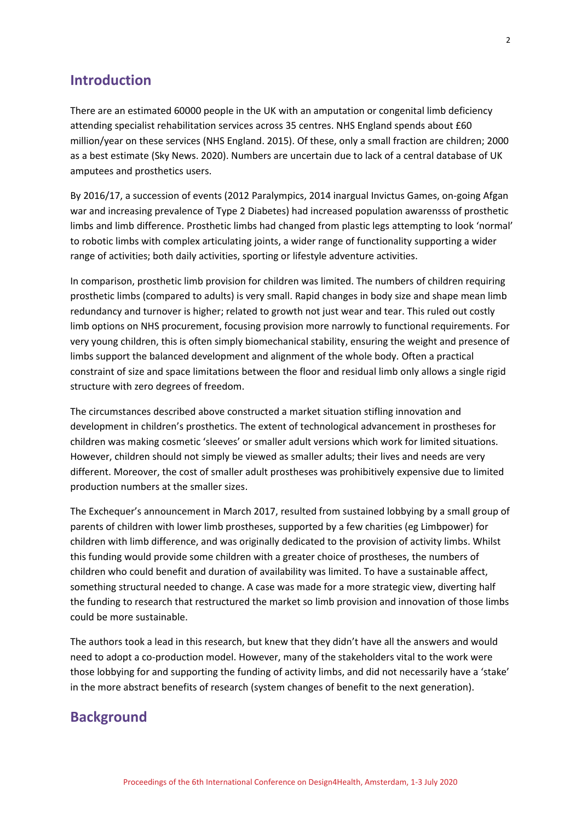### **Introduction**

There are an estimated 60000 people in the UK with an amputation or congenital limb deficiency attending specialist rehabilitation services across 35 centres. NHS England spends about £60 million/year on these services (NHS England. 2015). Of these, only a small fraction are children; 2000 as a best estimate (Sky News. 2020). Numbers are uncertain due to lack of a central database of UK amputees and prosthetics users.

By 2016/17, a succession of events (2012 Paralympics, 2014 inargual Invictus Games, on-going Afgan war and increasing prevalence of Type 2 Diabetes) had increased population awarensss of prosthetic limbs and limb difference. Prosthetic limbs had changed from plastic legs attempting to look 'normal' to robotic limbs with complex articulating joints, a wider range of functionality supporting a wider range of activities; both daily activities, sporting or lifestyle adventure activities.

In comparison, prosthetic limb provision for children was limited. The numbers of children requiring prosthetic limbs (compared to adults) is very small. Rapid changes in body size and shape mean limb redundancy and turnover is higher; related to growth not just wear and tear. This ruled out costly limb options on NHS procurement, focusing provision more narrowly to functional requirements. For very young children, this is often simply biomechanical stability, ensuring the weight and presence of limbs support the balanced development and alignment of the whole body. Often a practical constraint of size and space limitations between the floor and residual limb only allows a single rigid structure with zero degrees of freedom.

The circumstances described above constructed a market situation stifling innovation and development in children's prosthetics. The extent of technological advancement in prostheses for children was making cosmetic 'sleeves' or smaller adult versions which work for limited situations. However, children should not simply be viewed as smaller adults; their lives and needs are very different. Moreover, the cost of smaller adult prostheses was prohibitively expensive due to limited production numbers at the smaller sizes.

The Exchequer's announcement in March 2017, resulted from sustained lobbying by a small group of parents of children with lower limb prostheses, supported by a few charities (eg Limbpower) for children with limb difference, and was originally dedicated to the provision of activity limbs. Whilst this funding would provide some children with a greater choice of prostheses, the numbers of children who could benefit and duration of availability was limited. To have a sustainable affect, something structural needed to change. A case was made for a more strategic view, diverting half the funding to research that restructured the market so limb provision and innovation of those limbs could be more sustainable.

The authors took a lead in this research, but knew that they didn't have all the answers and would need to adopt a co-production model. However, many of the stakeholders vital to the work were those lobbying for and supporting the funding of activity limbs, and did not necessarily have a 'stake' in the more abstract benefits of research (system changes of benefit to the next generation).

# **Background**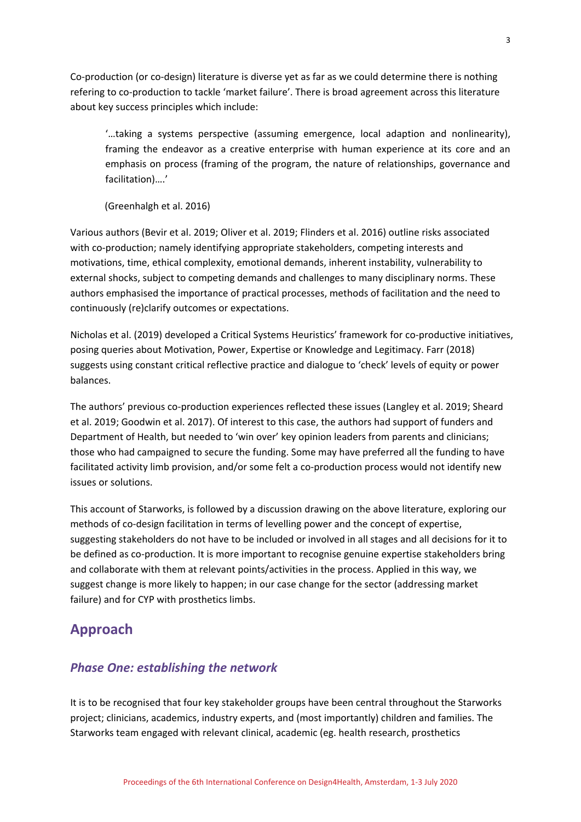Co-production (or co-design) literature is diverse yet as far as we could determine there is nothing refering to co-production to tackle 'market failure'. There is broad agreement across this literature about key success principles which include:

'…taking a systems perspective (assuming emergence, local adaption and nonlinearity), framing the endeavor as a creative enterprise with human experience at its core and an emphasis on process (framing of the program, the nature of relationships, governance and facilitation)….'

(Greenhalgh et al. 2016)

Various authors (Bevir et al. 2019; Oliver et al. 2019; Flinders et al. 2016) outline risks associated with co-production; namely identifying appropriate stakeholders, competing interests and motivations, time, ethical complexity, emotional demands, inherent instability, vulnerability to external shocks, subject to competing demands and challenges to many disciplinary norms. These authors emphasised the importance of practical processes, methods of facilitation and the need to continuously (re)clarify outcomes or expectations.

Nicholas et al. (2019) developed a Critical Systems Heuristics' framework for co-productive initiatives, posing queries about Motivation, Power, Expertise or Knowledge and Legitimacy. Farr (2018) suggests using constant critical reflective practice and dialogue to 'check' levels of equity or power balances.

The authors' previous co-production experiences reflected these issues (Langley et al. 2019; Sheard et al. 2019; Goodwin et al. 2017). Of interest to this case, the authors had support of funders and Department of Health, but needed to 'win over' key opinion leaders from parents and clinicians; those who had campaigned to secure the funding. Some may have preferred all the funding to have facilitated activity limb provision, and/or some felt a co-production process would not identify new issues or solutions.

This account of Starworks, is followed by a discussion drawing on the above literature, exploring our methods of co-design facilitation in terms of levelling power and the concept of expertise, suggesting stakeholders do not have to be included or involved in all stages and all decisions for it to be defined as co-production. It is more important to recognise genuine expertise stakeholders bring and collaborate with them at relevant points/activities in the process. Applied in this way, we suggest change is more likely to happen; in our case change for the sector (addressing market failure) and for CYP with prosthetics limbs.

# **Approach**

#### *Phase One: establishing the network*

It is to be recognised that four key stakeholder groups have been central throughout the Starworks project; clinicians, academics, industry experts, and (most importantly) children and families. The Starworks team engaged with relevant clinical, academic (eg. health research, prosthetics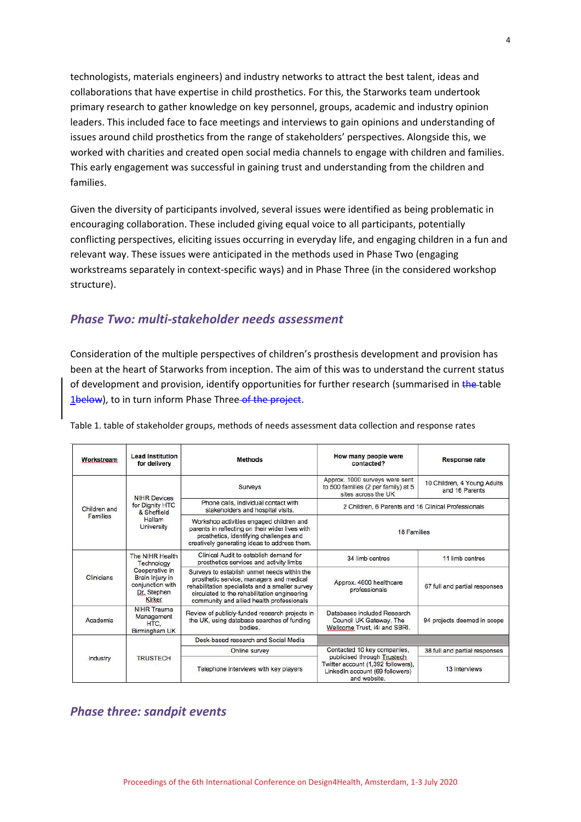technologists, materials engineers) and industry networks to attract the best talent, ideas and collaborations that have expertise in child prosthetics. For this, the Starworks team undertook primary research to gather knowledge on key personnel, groups, academic and industry opinion leaders. This included face to face meetings and interviews to gain opinions and understanding of issues around child prosthetics from the range of stakeholders' perspectives. Alongside this, we worked with charities and created open social media channels to engage with children and families. This early engagement was successful in gaining trust and understanding from the children and families.

Given the diversity of participants involved, several issues were identified as being problematic in encouraging collaboration. These included giving equal voice to all participants, potentially conflicting perspectives, eliciting issues occurring in everyday life, and engaging children in a fun and relevant way. These issues were anticipated in the methods used in Phase Two (engaging workstreams separately in context-specific ways) and in Phase Three (in the considered workshop structure).

#### *Phase Two: multi-stakeholder needs assessment*

Consideration of the multiple perspectives of children's prosthesis development and provision has been at the heart of Starworks from inception. The aim of this was to understand the current status of development and provision, identify opportunities for further research (summarised in the table 1below), to in turn inform Phase Three of the project.

| Workstream                      | <b>Lead Institution</b><br>for delivery                                                                                | <b>Methods</b>                                                                                                                                                                                                                          | How many people were<br>contacted?                                                                                                                  | <b>Response rate</b>                          |
|---------------------------------|------------------------------------------------------------------------------------------------------------------------|-----------------------------------------------------------------------------------------------------------------------------------------------------------------------------------------------------------------------------------------|-----------------------------------------------------------------------------------------------------------------------------------------------------|-----------------------------------------------|
| Children and<br><b>Families</b> | <b>NIHR Devices</b><br>for Dignity HTC<br>& Sheffield<br>Hallam<br><b>University</b>                                   | Surveys                                                                                                                                                                                                                                 | Approx. 1000 surveys were sent<br>to 500 families (2 per family) at 5<br>sites across the UK                                                        | 10 Children, 4 Young Adults<br>and 16 Parents |
|                                 |                                                                                                                        | Phone calls, individual contact with<br>stakeholders and hospital visits.                                                                                                                                                               | 2 Children, 6 Parents and 16 Clinical Professionals                                                                                                 |                                               |
|                                 |                                                                                                                        | Workshop activities engaged children and<br>parents in reflecting on their wider lives with<br>prosthetics, identifying challenges and<br>creatively generating ideas to address them.                                                  | <b>18 Families</b>                                                                                                                                  |                                               |
| Clinicians                      | The NIHR Health<br>Technology<br>Cooperative in<br>Brain Injury in<br>conjunction with<br>Dr. Stephen<br><b>Kirker</b> | Clinical Audit to establish demand for<br>prosthetics services and activity limbs                                                                                                                                                       | 34 limb centres                                                                                                                                     | 11 limb centres                               |
|                                 |                                                                                                                        | Surveys to establish unmet needs within the<br>prosthetic service, managers and medical<br>rehabilitation specialists and a smaller survey<br>circulated to the rehabilitation engineering<br>community and allied health professionals | Approx. 4600 healthcare<br>professionals                                                                                                            | 67 full and partial responses                 |
| Academia                        | <b>NIHR Trauma</b><br>Management<br>HTC.<br>Birmingham UK                                                              | Review of publicly-funded research projects in<br>the UK, using database searches of funding<br>bodies.                                                                                                                                 | Databases included Research<br>Council UK Gateway, The<br>Wellcome Trust, i4i and SBRI.                                                             | 94 projects deemed in scope                   |
|                                 | <b>TRUSTECH</b>                                                                                                        | Desk-based research and Social Media                                                                                                                                                                                                    |                                                                                                                                                     |                                               |
| Industry                        |                                                                                                                        | Online survey                                                                                                                                                                                                                           | Contacted 10 key companies,<br>publicised through Trustech<br>Twitter account (1,392 followers),<br>LinkedIn account (69 followers)<br>and website. | 38 full and partial responses                 |
|                                 |                                                                                                                        | Telephone interviews with key players                                                                                                                                                                                                   |                                                                                                                                                     | 13 interviews                                 |

Table 1. table of stakeholder groups, methods of needs assessment data collection and response rates

# *Phase three: sandpit events*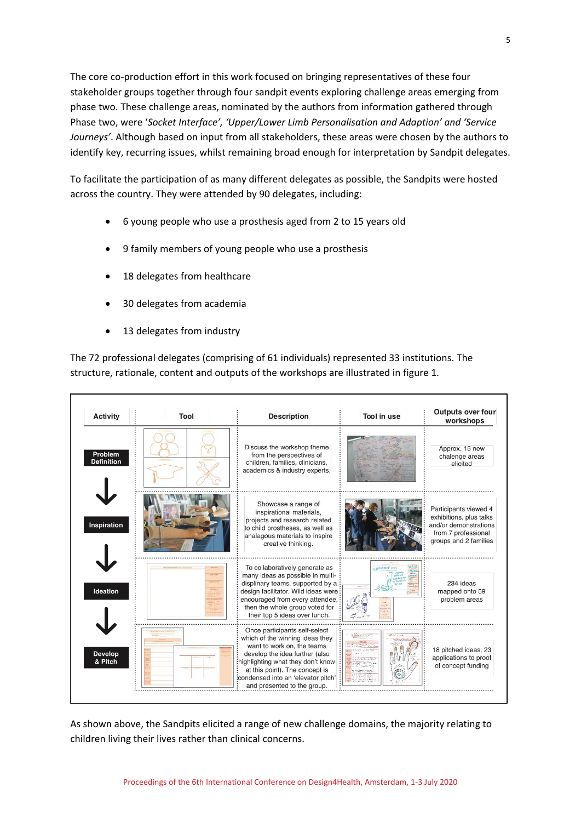The core co-production effort in this work focused on bringing representatives of these four stakeholder groups together through four sandpit events exploring challenge areas emerging from phase two. These challenge areas, nominated by the authors from information gathered through Phase two, were '*Socket Interface', 'Upper/Lower Limb Personalisation and Adaption' and 'Service Journeys'*. Although based on input from all stakeholders, these areas were chosen by the authors to identify key, recurring issues, whilst remaining broad enough for interpretation by Sandpit delegates.

To facilitate the participation of as many different delegates as possible, the Sandpits were hosted across the country. They were attended by 90 delegates, including:

- 6 young people who use a prosthesis aged from 2 to 15 years old
- 9 family members of young people who use a prosthesis
- 18 delegates from healthcare
- 30 delegates from academia
- 13 delegates from industry

The 72 professional delegates (comprising of 61 individuals) represented 33 institutions. The structure, rationale, content and outputs of the workshops are illustrated in figure 1.

| <b>Activity</b>              | Tool | <b>Description</b>                                                                                                                                                                                                                                                           | Tool in use   | <b>Outputs over four</b><br>workshops                                                                                     |
|------------------------------|------|------------------------------------------------------------------------------------------------------------------------------------------------------------------------------------------------------------------------------------------------------------------------------|---------------|---------------------------------------------------------------------------------------------------------------------------|
| Problem<br><b>Definition</b> |      | Discuss the workshop theme<br>from the perspectives of<br>children, families, clinicians,<br>academics & industry experts.                                                                                                                                                   |               | Approx. 15 new<br>chalenge areas<br>elicited                                                                              |
| <b>Inspiration</b>           |      | Showcase a range of<br>inspirational materials,<br>projects and research related<br>to child prostheses, as well as<br>analagous materials to inspire<br>creative thinking.                                                                                                  |               | Participants viewed 4<br>exhibitions, plus talks<br>and/or demonstrations<br>from 7 professional<br>groups and 2 families |
| Ideation                     |      | To collaboratively generate as<br>many ideas as possible in multi-<br>displinary teams, supported by a<br>design facilitator. Wild ideas were:<br>encouraged from every attendee.<br>then the whole group voted for<br>their top 5 ideas over lunch.                         | o White Not L | 234 ideas<br>mapped onto 59<br>problem areas                                                                              |
| <b>Develop</b><br>& Pitch    |      | Once participants self-select<br>which of the winning ideas they<br>want to work on, the teams<br>develop the idea further (also<br>highlighting what they don't know<br>at this point). The concept is<br>condensed into an 'elevator pitch'<br>and presented to the group. |               | 18 pitched ideas, 23<br>applications to proof<br>of concept funding                                                       |

As shown above, the Sandpits elicited a range of new challenge domains, the majority relating to children living their lives rather than clinical concerns.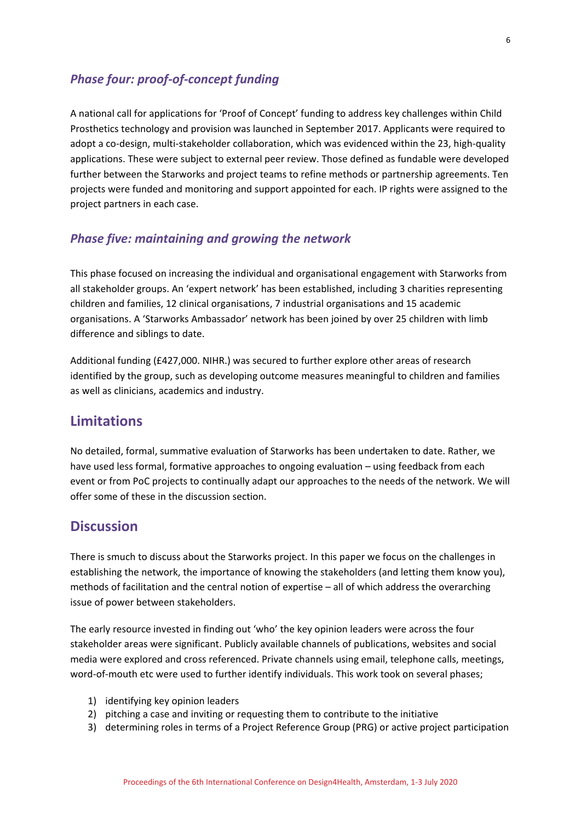# *Phase four: proof-of-concept funding*

A national call for applications for 'Proof of Concept' funding to address key challenges within Child Prosthetics technology and provision was launched in September 2017. Applicants were required to adopt a co-design, multi-stakeholder collaboration, which was evidenced within the 23, high-quality applications. These were subject to external peer review. Those defined as fundable were developed further between the Starworks and project teams to refine methods or partnership agreements. Ten projects were funded and monitoring and support appointed for each. IP rights were assigned to the project partners in each case.

#### *Phase five: maintaining and growing the network*

This phase focused on increasing the individual and organisational engagement with Starworks from all stakeholder groups. An 'expert network' has been established, including 3 charities representing children and families, 12 clinical organisations, 7 industrial organisations and 15 academic organisations. A 'Starworks Ambassador' network has been joined by over 25 children with limb difference and siblings to date.

Additional funding (£427,000. NIHR.) was secured to further explore other areas of research identified by the group, such as developing outcome measures meaningful to children and families as well as clinicians, academics and industry.

# **Limitations**

No detailed, formal, summative evaluation of Starworks has been undertaken to date. Rather, we have used less formal, formative approaches to ongoing evaluation – using feedback from each event or from PoC projects to continually adapt our approaches to the needs of the network. We will offer some of these in the discussion section.

#### **Discussion**

There is smuch to discuss about the Starworks project. In this paper we focus on the challenges in establishing the network, the importance of knowing the stakeholders (and letting them know you), methods of facilitation and the central notion of expertise – all of which address the overarching issue of power between stakeholders.

The early resource invested in finding out 'who' the key opinion leaders were across the four stakeholder areas were significant. Publicly available channels of publications, websites and social media were explored and cross referenced. Private channels using email, telephone calls, meetings, word-of-mouth etc were used to further identify individuals. This work took on several phases;

- 1) identifying key opinion leaders
- 2) pitching a case and inviting or requesting them to contribute to the initiative
- 3) determining roles in terms of a Project Reference Group (PRG) or active project participation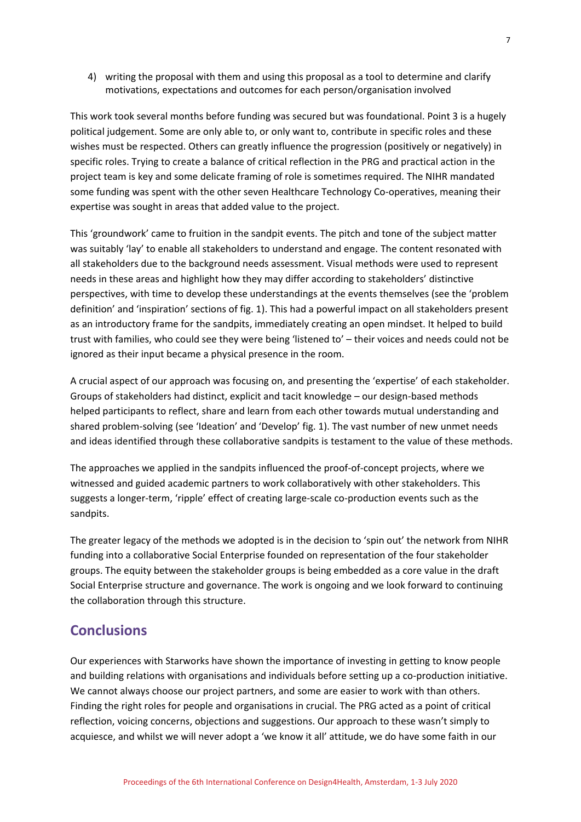4) writing the proposal with them and using this proposal as a tool to determine and clarify motivations, expectations and outcomes for each person/organisation involved

This work took several months before funding was secured but was foundational. Point 3 is a hugely political judgement. Some are only able to, or only want to, contribute in specific roles and these wishes must be respected. Others can greatly influence the progression (positively or negatively) in specific roles. Trying to create a balance of critical reflection in the PRG and practical action in the project team is key and some delicate framing of role is sometimes required. The NIHR mandated some funding was spent with the other seven Healthcare Technology Co-operatives, meaning their expertise was sought in areas that added value to the project.

This 'groundwork' came to fruition in the sandpit events. The pitch and tone of the subject matter was suitably 'lay' to enable all stakeholders to understand and engage. The content resonated with all stakeholders due to the background needs assessment. Visual methods were used to represent needs in these areas and highlight how they may differ according to stakeholders' distinctive perspectives, with time to develop these understandings at the events themselves (see the 'problem definition' and 'inspiration' sections of fig. 1). This had a powerful impact on all stakeholders present as an introductory frame for the sandpits, immediately creating an open mindset. It helped to build trust with families, who could see they were being 'listened to' – their voices and needs could not be ignored as their input became a physical presence in the room.

A crucial aspect of our approach was focusing on, and presenting the 'expertise' of each stakeholder. Groups of stakeholders had distinct, explicit and tacit knowledge – our design-based methods helped participants to reflect, share and learn from each other towards mutual understanding and shared problem-solving (see 'Ideation' and 'Develop' fig. 1). The vast number of new unmet needs and ideas identified through these collaborative sandpits is testament to the value of these methods.

The approaches we applied in the sandpits influenced the proof-of-concept projects, where we witnessed and guided academic partners to work collaboratively with other stakeholders. This suggests a longer-term, 'ripple' effect of creating large-scale co-production events such as the sandpits.

The greater legacy of the methods we adopted is in the decision to 'spin out' the network from NIHR funding into a collaborative Social Enterprise founded on representation of the four stakeholder groups. The equity between the stakeholder groups is being embedded as a core value in the draft Social Enterprise structure and governance. The work is ongoing and we look forward to continuing the collaboration through this structure.

# **Conclusions**

Our experiences with Starworks have shown the importance of investing in getting to know people and building relations with organisations and individuals before setting up a co-production initiative. We cannot always choose our project partners, and some are easier to work with than others. Finding the right roles for people and organisations in crucial. The PRG acted as a point of critical reflection, voicing concerns, objections and suggestions. Our approach to these wasn't simply to acquiesce, and whilst we will never adopt a 'we know it all' attitude, we do have some faith in our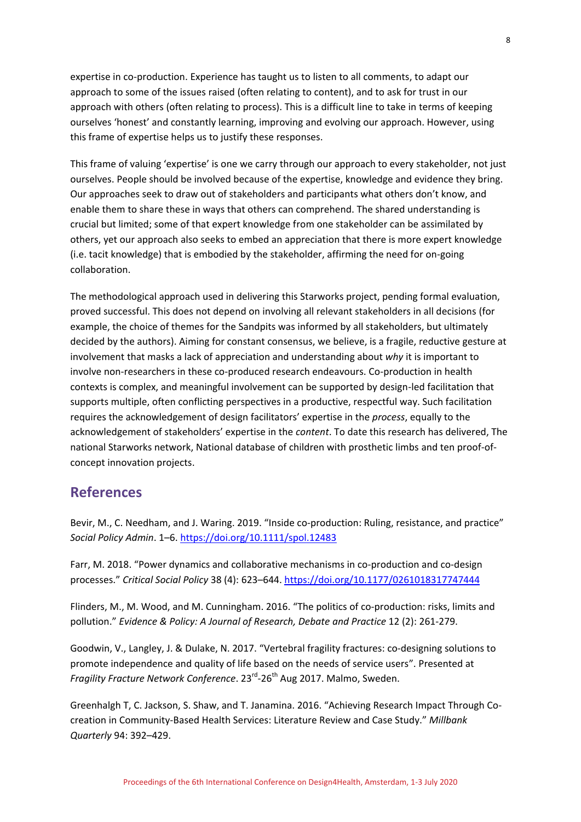expertise in co-production. Experience has taught us to listen to all comments, to adapt our approach to some of the issues raised (often relating to content), and to ask for trust in our approach with others (often relating to process). This is a difficult line to take in terms of keeping ourselves 'honest' and constantly learning, improving and evolving our approach. However, using this frame of expertise helps us to justify these responses.

This frame of valuing 'expertise' is one we carry through our approach to every stakeholder, not just ourselves. People should be involved because of the expertise, knowledge and evidence they bring. Our approaches seek to draw out of stakeholders and participants what others don't know, and enable them to share these in ways that others can comprehend. The shared understanding is crucial but limited; some of that expert knowledge from one stakeholder can be assimilated by others, yet our approach also seeks to embed an appreciation that there is more expert knowledge (i.e. tacit knowledge) that is embodied by the stakeholder, affirming the need for on-going collaboration.

The methodological approach used in delivering this Starworks project, pending formal evaluation, proved successful. This does not depend on involving all relevant stakeholders in all decisions (for example, the choice of themes for the Sandpits was informed by all stakeholders, but ultimately decided by the authors). Aiming for constant consensus, we believe, is a fragile, reductive gesture at involvement that masks a lack of appreciation and understanding about *why* it is important to involve non-researchers in these co-produced research endeavours. Co-production in health contexts is complex, and meaningful involvement can be supported by design-led facilitation that supports multiple, often conflicting perspectives in a productive, respectful way. Such facilitation requires the acknowledgement of design facilitators' expertise in the *process*, equally to the acknowledgement of stakeholders' expertise in the *content*. To date this research has delivered, The national Starworks network, National database of children with prosthetic limbs and ten proof-ofconcept innovation projects.

# **References**

Bevir, M., C. Needham, and J. Waring. 2019. "Inside co-production: Ruling, resistance, and practice" *Social Policy Admin*. 1–6.<https://doi.org/10.1111/spol.12483>

Farr, M. 2018. "Power dynamics and collaborative mechanisms in co-production and co-design processes." *Critical Social Policy* 38 (4): 623–644[. https://doi.org/10.1177/0261018317747444](https://doi.org/10.1177/0261018317747444)

Flinders, M., M. Wood, and M. Cunningham. 2016. "The politics of co-production: risks, limits and pollution." *Evidence & Policy: A Journal of Research, Debate and Practice* 12 (2): 261-279.

Goodwin, V., Langley, J. & Dulake, N. 2017. "Vertebral fragility fractures: co-designing solutions to promote independence and quality of life based on the needs of service users". Presented at Fragility Fracture Network Conference. 23<sup>rd</sup>-26<sup>th</sup> Aug 2017. Malmo, Sweden.

Greenhalgh T, C. Jackson, S. Shaw, and T. Janamina. 2016. "Achieving Research Impact Through Cocreation in Community-Based Health Services: Literature Review and Case Study." *Millbank Quarterly* 94: 392–429.